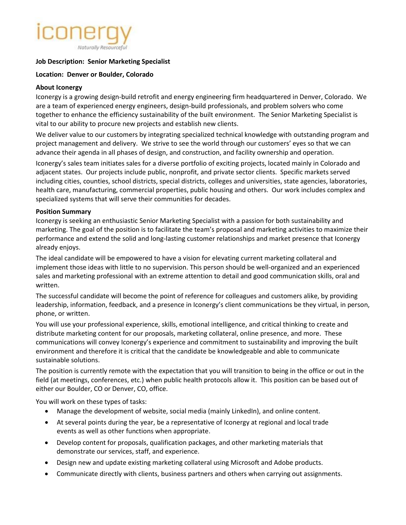# Naturally Resourceful

## **Job Description: Senior Marketing Specialist**

#### **Location: Denver or Boulder, Colorado**

#### **About Iconergy**

Iconergy is a growing design-build retrofit and energy engineering firm headquartered in Denver, Colorado. We are a team of experienced energy engineers, design-build professionals, and problem solvers who come together to enhance the efficiency sustainability of the built environment. The Senior Marketing Specialist is vital to our ability to procure new projects and establish new clients.

We deliver value to our customers by integrating specialized technical knowledge with outstanding program and project management and delivery. We strive to see the world through our customers' eyes so that we can advance their agenda in all phases of design, and construction, and facility ownership and operation.

Iconergy's sales team initiates sales for a diverse portfolio of exciting projects, located mainly in Colorado and adjacent states. Our projects include public, nonprofit, and private sector clients. Specific markets served including cities, counties, school districts, special districts, colleges and universities, state agencies, laboratories, health care, manufacturing, commercial properties, public housing and others. Our work includes complex and specialized systems that will serve their communities for decades.

#### **Position Summary**

Iconergy is seeking an enthusiastic Senior Marketing Specialist with a passion for both sustainability and marketing. The goal of the position is to facilitate the team's proposal and marketing activities to maximize their performance and extend the solid and long-lasting customer relationships and market presence that Iconergy already enjoys.

The ideal candidate will be empowered to have a vision for elevating current marketing collateral and implement those ideas with little to no supervision. This person should be well-organized and an experienced sales and marketing professional with an extreme attention to detail and good communication skills, oral and written.

The successful candidate will become the point of reference for colleagues and customers alike, by providing leadership, information, feedback, and a presence in Iconergy's client communications be they virtual, in person, phone, or written.

You will use your professional experience, skills, emotional intelligence, and critical thinking to create and distribute marketing content for our proposals, marketing collateral, online presence, and more. These communications will convey Iconergy's experience and commitment to sustainability and improving the built environment and therefore it is critical that the candidate be knowledgeable and able to communicate sustainable solutions.

The position is currently remote with the expectation that you will transition to being in the office or out in the field (at meetings, conferences, etc.) when public health protocols allow it. This position can be based out of either our Boulder, CO or Denver, CO, office.

You will work on these types of tasks:

- Manage the development of website, social media (mainly LinkedIn), and online content.
- At several points during the year, be a representative of Iconergy at regional and local trade events as well as other functions when appropriate.
- Develop content for proposals, qualification packages, and other marketing materials that demonstrate our services, staff, and experience.
- Design new and update existing marketing collateral using Microsoft and Adobe products.
- Communicate directly with clients, business partners and others when carrying out assignments.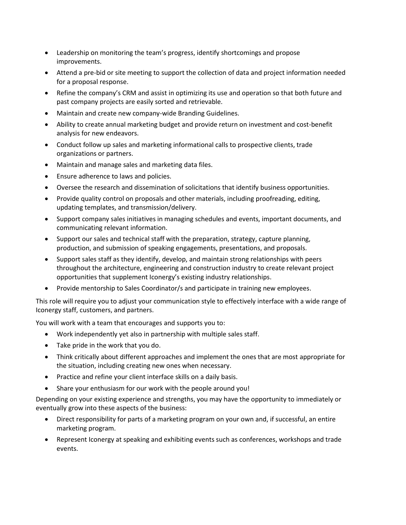- Leadership on monitoring the team's progress, identify shortcomings and propose improvements.
- Attend a pre-bid or site meeting to support the collection of data and project information needed for a proposal response.
- Refine the company's CRM and assist in optimizing its use and operation so that both future and past company projects are easily sorted and retrievable.
- Maintain and create new company-wide Branding Guidelines.
- Ability to create annual marketing budget and provide return on investment and cost-benefit analysis for new endeavors.
- Conduct follow up sales and marketing informational calls to prospective clients, trade organizations or partners.
- Maintain and manage sales and marketing data files.
- Ensure adherence to laws and policies.
- Oversee the research and dissemination of solicitations that identify business opportunities.
- Provide quality control on proposals and other materials, including proofreading, editing, updating templates, and transmission/delivery.
- Support company sales initiatives in managing schedules and events, important documents, and communicating relevant information.
- Support our sales and technical staff with the preparation, strategy, capture planning, production, and submission of speaking engagements, presentations, and proposals.
- Support sales staff as they identify, develop, and maintain strong relationships with peers throughout the architecture, engineering and construction industry to create relevant project opportunities that supplement Iconergy's existing industry relationships.
- Provide mentorship to Sales Coordinator/s and participate in training new employees.

This role will require you to adjust your communication style to effectively interface with a wide range of Iconergy staff, customers, and partners.

You will work with a team that encourages and supports you to:

- Work independently yet also in partnership with multiple sales staff.
- Take pride in the work that you do.
- Think critically about different approaches and implement the ones that are most appropriate for the situation, including creating new ones when necessary.
- Practice and refine your client interface skills on a daily basis.
- Share your enthusiasm for our work with the people around you!

Depending on your existing experience and strengths, you may have the opportunity to immediately or eventually grow into these aspects of the business:

- Direct responsibility for parts of a marketing program on your own and, if successful, an entire marketing program.
- Represent Iconergy at speaking and exhibiting events such as conferences, workshops and trade events.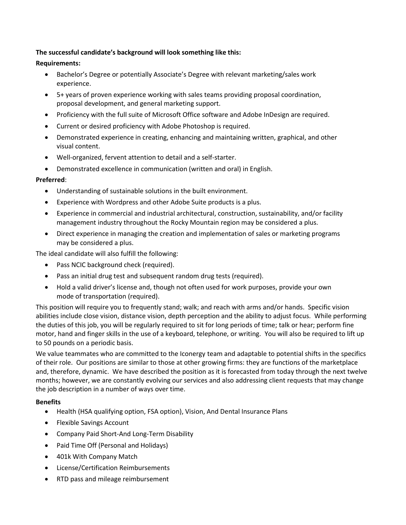# **The successful candidate's background will look something like this:**

# **Requirements:**

- Bachelor's Degree or potentially Associate's Degree with relevant marketing/sales work experience.
- 5+ years of proven experience working with sales teams providing proposal coordination, proposal development, and general marketing support.
- Proficiency with the full suite of Microsoft Office software and Adobe InDesign are required.
- Current or desired proficiency with Adobe Photoshop is required.
- Demonstrated experience in creating, enhancing and maintaining written, graphical, and other visual content.
- Well-organized, fervent attention to detail and a self-starter.
- Demonstrated excellence in communication (written and oral) in English.

## **Preferred**:

- Understanding of sustainable solutions in the built environment.
- Experience with Wordpress and other Adobe Suite products is a plus.
- Experience in commercial and industrial architectural, construction, sustainability, and/or facility management industry throughout the Rocky Mountain region may be considered a plus.
- Direct experience in managing the creation and implementation of sales or marketing programs may be considered a plus.

The ideal candidate will also fulfill the following:

- Pass NCIC background check (required).
- Pass an initial drug test and subsequent random drug tests (required).
- Hold a valid driver's license and, though not often used for work purposes, provide your own mode of transportation (required).

This position will require you to frequently stand; walk; and reach with arms and/or hands. Specific vision abilities include close vision, distance vision, depth perception and the ability to adjust focus. While performing the duties of this job, you will be regularly required to sit for long periods of time; talk or hear; perform fine motor, hand and finger skills in the use of a keyboard, telephone, or writing. You will also be required to lift up to 50 pounds on a periodic basis.

We value teammates who are committed to the Iconergy team and adaptable to potential shifts in the specifics of their role. Our positions are similar to those at other growing firms: they are functions of the marketplace and, therefore, dynamic. We have described the position as it is forecasted from today through the next twelve months; however, we are constantly evolving our services and also addressing client requests that may change the job description in a number of ways over time.

## **Benefits**

- Health (HSA qualifying option, FSA option), Vision, And Dental Insurance Plans
- Flexible Savings Account
- Company Paid Short-And Long-Term Disability
- Paid Time Off (Personal and Holidays)
- 401k With Company Match
- License/Certification Reimbursements
- RTD pass and mileage reimbursement